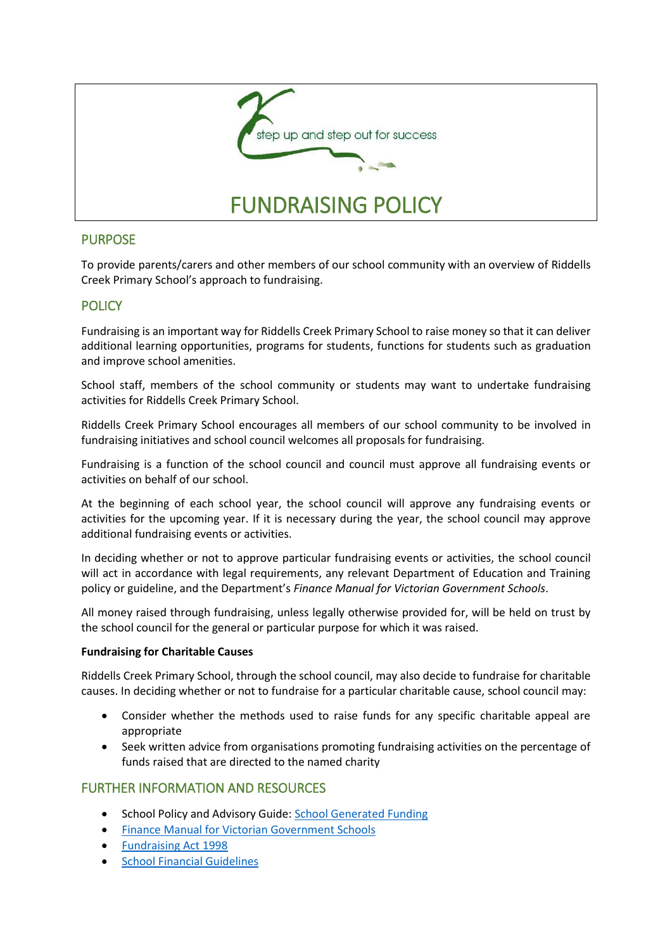

# PURPOSE

To provide parents/carers and other members of our school community with an overview of Riddells Creek Primary School's approach to fundraising.

# **POLICY**

Fundraising is an important way for Riddells Creek Primary School to raise money so that it can deliver additional learning opportunities, programs for students, functions for students such as graduation and improve school amenities.

School staff, members of the school community or students may want to undertake fundraising activities for Riddells Creek Primary School.

Riddells Creek Primary School encourages all members of our school community to be involved in fundraising initiatives and school council welcomes all proposals for fundraising.

Fundraising is a function of the school council and council must approve all fundraising events or activities on behalf of our school.

At the beginning of each school year, the school council will approve any fundraising events or activities for the upcoming year. If it is necessary during the year, the school council may approve additional fundraising events or activities.

In deciding whether or not to approve particular fundraising events or activities, the school council will act in accordance with legal requirements, any relevant Department of Education and Training policy or guideline, and the Department's *Finance Manual for Victorian Government Schools*.

All money raised through fundraising, unless legally otherwise provided for, will be held on trust by the school council for the general or particular purpose for which it was raised.

#### **Fundraising for Charitable Causes**

Riddells Creek Primary School, through the school council, may also decide to fundraise for charitable causes. In deciding whether or not to fundraise for a particular charitable cause, school council may:

- Consider whether the methods used to raise funds for any specific charitable appeal are appropriate
- Seek written advice from organisations promoting fundraising activities on the percentage of funds raised that are directed to the named charity

### FURTHER INFORMATION AND RESOURCES

- School Policy and Advisory Guide: [School Generated Funding](http://www.education.vic.gov.au/school/principals/spag/finance/Pages/generatedfunding.aspx)
- **[Finance Manual for Victorian Government Schools](http://www.education.vic.gov.au/school/teachers/management/finance/Pages/guidelines.aspx#link63)**
- [Fundraising Act 1998](https://www.acnc.gov.au/ACNC/FTS/Fundraising_in_Victoria.aspx?TemplateType=P)
- **•** [School Financial Guidelines](http://www.education.vic.gov.au/school/teachers/management/finance/Pages/guidelines.aspx)